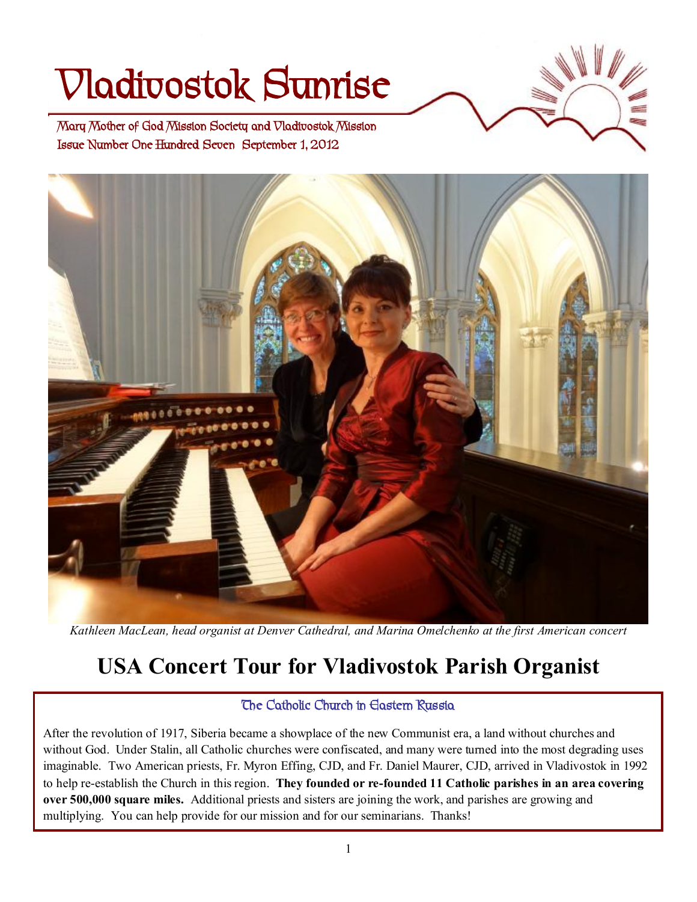# **Vladivostok Sunrise**

 **Issue Number One Hundred Seven September 1, 2012 Mary Mother of God Mission Society and Vladivostok Mission** 





*Kathleen MacLean, head organist at Denver Cathedral, and Marina Omelchenko at the first American concert* 

# **USA Concert Tour for Vladivostok Parish Organist**

#### **The Catholic Church in Eastern Russia**

After the revolution of 1917, Siberia became a showplace of the new Communist era, a land without churches and without God. Under Stalin, all Catholic churches were confiscated, and many were turned into the most degrading uses imaginable. Two American priests, Fr. Myron Effing, CJD, and Fr. Daniel Maurer, CJD, arrived in Vladivostok in 1992 to help re-establish the Church in this region. **They founded or re-founded 11 Catholic parishes in an area covering over 500,000 square miles.** Additional priests and sisters are joining the work, and parishes are growing and multiplying. You can help provide for our mission and for our seminarians. Thanks!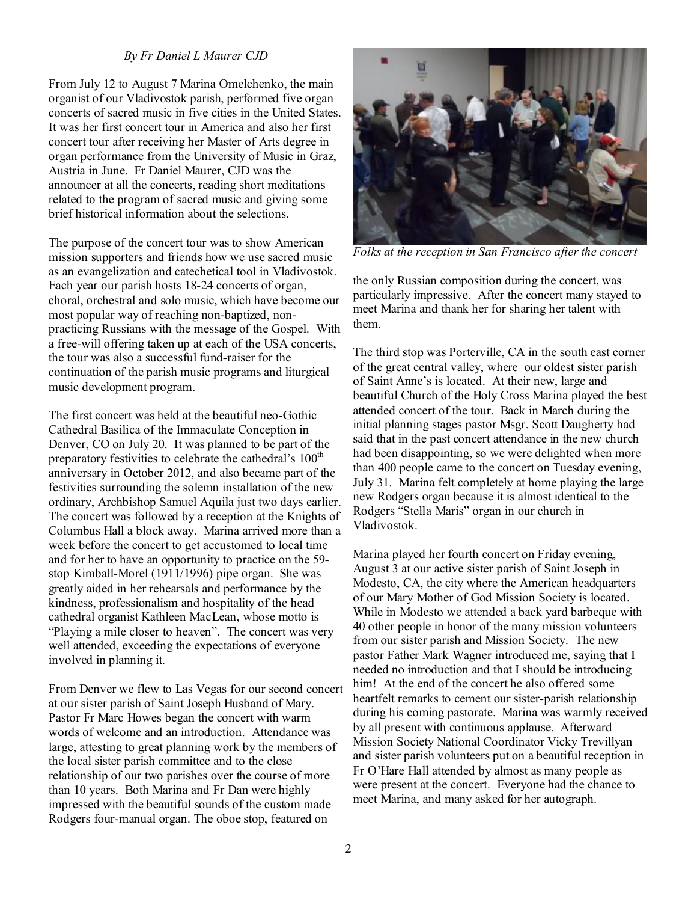#### *By Fr Daniel L Maurer CJD*

From July 12 to August 7 Marina Omelchenko, the main organist of our Vladivostok parish, performed five organ concerts of sacred music in five cities in the United States. It was her first concert tour in America and also her first concert tour after receiving her Master of Arts degree in organ performance from the University of Music in Graz, Austria in June. Fr Daniel Maurer, CJD was the announcer at all the concerts, reading short meditations related to the program of sacred music and giving some brief historical information about the selections.

The purpose of the concert tour was to show American mission supporters and friends how we use sacred music as an evangelization and catechetical tool in Vladivostok. Each year our parish hosts 18-24 concerts of organ, choral, orchestral and solo music, which have become our most popular way of reaching non-baptized, nonpracticing Russians with the message of the Gospel. With a free-will offering taken up at each of the USA concerts, the tour was also a successful fund-raiser for the continuation of the parish music programs and liturgical music development program.

The first concert was held at the beautiful neo-Gothic Cathedral Basilica of the Immaculate Conception in Denver, CO on July 20. It was planned to be part of the preparatory festivities to celebrate the cathedral's 100<sup>th</sup> anniversary in October 2012, and also became part of the festivities surrounding the solemn installation of the new ordinary, Archbishop Samuel Aquila just two days earlier. The concert was followed by a reception at the Knights of Columbus Hall a block away. Marina arrived more than a week before the concert to get accustomed to local time and for her to have an opportunity to practice on the 59 stop Kimball-Morel (1911/1996) pipe organ. She was greatly aided in her rehearsals and performance by the kindness, professionalism and hospitality of the head cathedral organist Kathleen MacLean, whose motto is "Playing a mile closer to heaven". The concert was very well attended, exceeding the expectations of everyone involved in planning it.

From Denver we flew to Las Vegas for our second concert at our sister parish of Saint Joseph Husband of Mary. Pastor Fr Marc Howes began the concert with warm words of welcome and an introduction. Attendance was large, attesting to great planning work by the members of the local sister parish committee and to the close relationship of our two parishes over the course of more than 10 years. Both Marina and Fr Dan were highly impressed with the beautiful sounds of the custom made Rodgers four-manual organ. The oboe stop, featured on



*Folks at the reception in San Francisco after the concert* 

the only Russian composition during the concert, was particularly impressive. After the concert many stayed to meet Marina and thank her for sharing her talent with them.

The third stop was Porterville, CA in the south east corner of the great central valley, where our oldest sister parish of Saint Anne's is located. At their new, large and beautiful Church of the Holy Cross Marina played the best attended concert of the tour. Back in March during the initial planning stages pastor Msgr. Scott Daugherty had said that in the past concert attendance in the new church had been disappointing, so we were delighted when more than 400 people came to the concert on Tuesday evening, July 31. Marina felt completely at home playing the large new Rodgers organ because it is almost identical to the Rodgers "Stella Maris" organ in our church in Vladivostok.

Marina played her fourth concert on Friday evening, August 3 at our active sister parish of Saint Joseph in Modesto, CA, the city where the American headquarters of our Mary Mother of God Mission Society is located. While in Modesto we attended a back yard barbeque with 40 other people in honor of the many mission volunteers from our sister parish and Mission Society. The new pastor Father Mark Wagner introduced me, saying that I needed no introduction and that I should be introducing him! At the end of the concert he also offered some heartfelt remarks to cement our sister-parish relationship during his coming pastorate. Marina was warmly received by all present with continuous applause. Afterward Mission Society National Coordinator Vicky Trevillyan and sister parish volunteers put on a beautiful reception in Fr O'Hare Hall attended by almost as many people as were present at the concert. Everyone had the chance to meet Marina, and many asked for her autograph.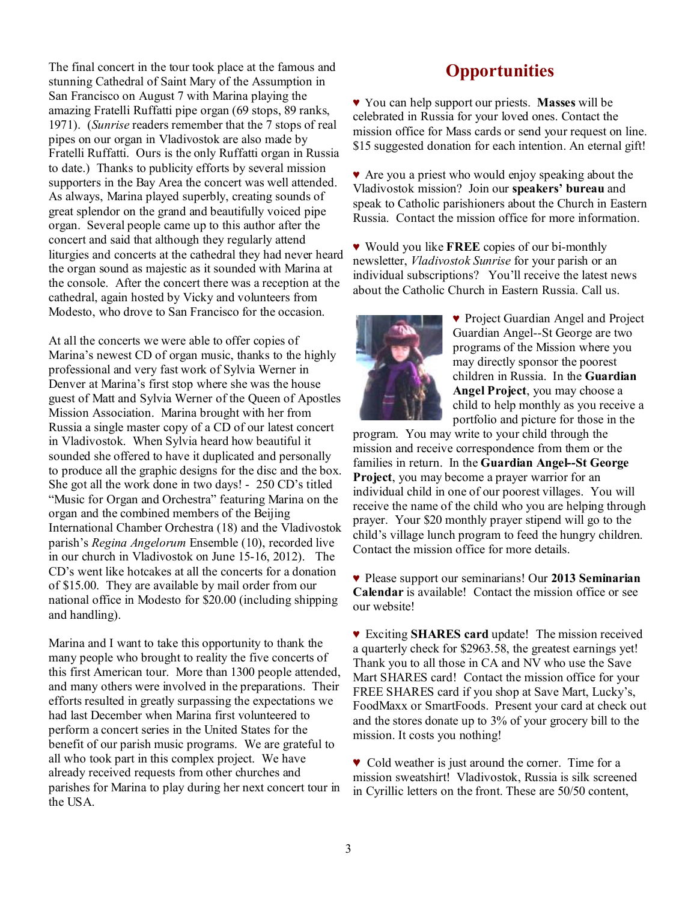The final concert in the tour took place at the famous and stunning Cathedral of Saint Mary of the Assumption in San Francisco on August 7 with Marina playing the amazing Fratelli Ruffatti pipe organ (69 stops, 89 ranks, 1971). (*Sunrise* readers remember that the 7 stops of real pipes on our organ in Vladivostok are also made by Fratelli Ruffatti. Ours is the only Ruffatti organ in Russia to date.) Thanks to publicity efforts by several mission supporters in the Bay Area the concert was well attended. As always, Marina played superbly, creating sounds of great splendor on the grand and beautifully voiced pipe organ. Several people came up to this author after the concert and said that although they regularly attend liturgies and concerts at the cathedral they had never heard the organ sound as majestic as it sounded with Marina at the console. After the concert there was a reception at the cathedral, again hosted by Vicky and volunteers from Modesto, who drove to San Francisco for the occasion.

At all the concerts we were able to offer copies of Marina's newest CD of organ music, thanks to the highly professional and very fast work of Sylvia Werner in Denver at Marina's first stop where she was the house guest of Matt and Sylvia Werner of the Queen of Apostles Mission Association. Marina brought with her from Russia a single master copy of a CD of our latest concert in Vladivostok. When Sylvia heard how beautiful it sounded she offered to have it duplicated and personally to produce all the graphic designs for the disc and the box. She got all the work done in two days! - 250 CD's titled "Music for Organ and Orchestra" featuring Marina on the organ and the combined members of the Beijing International Chamber Orchestra (18) and the Vladivostok parish's *Regina Angelorum* Ensemble (10), recorded live in our church in Vladivostok on June 15-16, 2012). The CD's went like hotcakes at all the concerts for a donation of \$15.00. They are available by mail order from our national office in Modesto for \$20.00 (including shipping and handling).

Marina and I want to take this opportunity to thank the many people who brought to reality the five concerts of this first American tour. More than 1300 people attended, and many others were involved in the preparations. Their efforts resulted in greatly surpassing the expectations we had last December when Marina first volunteered to perform a concert series in the United States for the benefit of our parish music programs. We are grateful to all who took part in this complex project. We have already received requests from other churches and parishes for Marina to play during her next concert tour in the USA.

## **Opportunities**

♥ You can help support our priests. **Masses** will be celebrated in Russia for your loved ones. Contact the mission office for Mass cards or send your request on line. \$15 suggested donation for each intention. An eternal gift!

♥ Are you a priest who would enjoy speaking about the Vladivostok mission? Join our **speakers' bureau** and speak to Catholic parishioners about the Church in Eastern Russia. Contact the mission office for more information.

♥ Would you like **FREE** copies of our bi-monthly newsletter, *Vladivostok Sunrise* for your parish or an individual subscriptions? You'll receive the latest news about the Catholic Church in Eastern Russia. Call us.



♥ Project Guardian Angel and Project Guardian Angel--St George are two programs of the Mission where you may directly sponsor the poorest children in Russia. In the **Guardian Angel Project**, you may choose a child to help monthly as you receive a portfolio and picture for those in the

program. You may write to your child through the mission and receive correspondence from them or the families in return. In the **Guardian Angel--St George Project**, you may become a prayer warrior for an individual child in one of our poorest villages. You will receive the name of the child who you are helping through prayer. Your \$20 monthly prayer stipend will go to the child's village lunch program to feed the hungry children. Contact the mission office for more details.

♥ Please support our seminarians! Our **2013 Seminarian Calendar** is available! Contact the mission office or see our website!

♥ Exciting **SHARES card** update! The mission received a quarterly check for \$2963.58, the greatest earnings yet! Thank you to all those in CA and NV who use the Save Mart SHARES card! Contact the mission office for your FREE SHARES card if you shop at Save Mart, Lucky's, FoodMaxx or SmartFoods. Present your card at check out and the stores donate up to 3% of your grocery bill to the mission. It costs you nothing!

♥ Cold weather is just around the corner. Time for a mission sweatshirt! Vladivostok, Russia is silk screened in Cyrillic letters on the front. These are 50/50 content,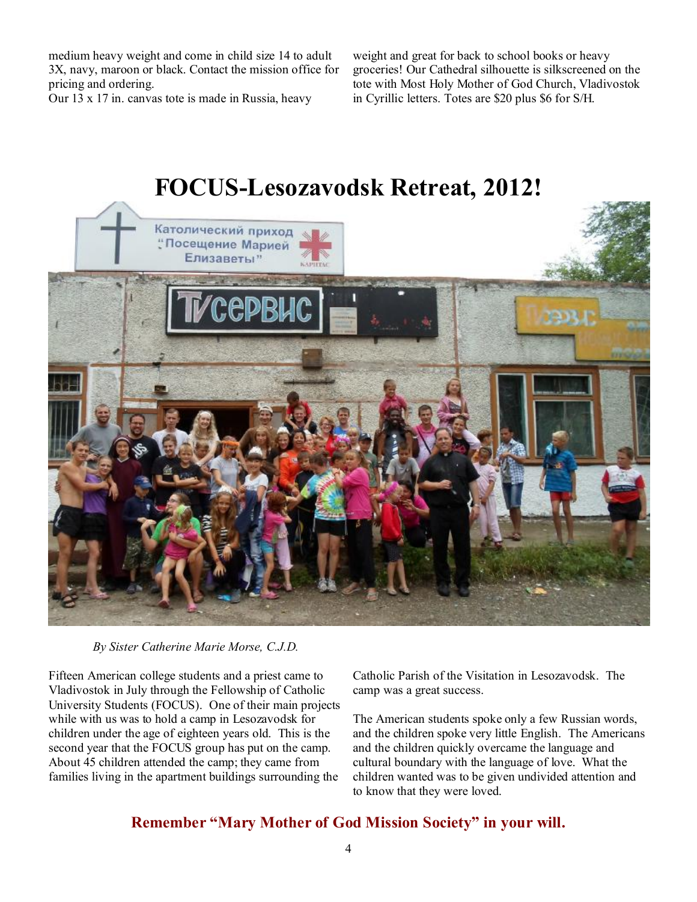medium heavy weight and come in child size 14 to adult 3X, navy, maroon or black. Contact the mission office for pricing and ordering.

Our 13 x 17 in. canvas tote is made in Russia, heavy

weight and great for back to school books or heavy groceries! Our Cathedral silhouette is silkscreened on the tote with Most Holy Mother of God Church, Vladivostok in Cyrillic letters. Totes are \$20 plus \$6 for S/H.

# **FOCUS-Lesozavodsk Retreat, 2012!**



*By Sister Catherine Marie Morse, C.J.D.* 

Fifteen American college students and a priest came to Vladivostok in July through the Fellowship of Catholic University Students (FOCUS). One of their main projects while with us was to hold a camp in Lesozavodsk for children under the age of eighteen years old. This is the second year that the FOCUS group has put on the camp. About 45 children attended the camp; they came from families living in the apartment buildings surrounding the

Catholic Parish of the Visitation in Lesozavodsk. The camp was a great success.

The American students spoke only a few Russian words, and the children spoke very little English. The Americans and the children quickly overcame the language and cultural boundary with the language of love. What the children wanted was to be given undivided attention and to know that they were loved.

#### **Remember "Mary Mother of God Mission Society" in your will.**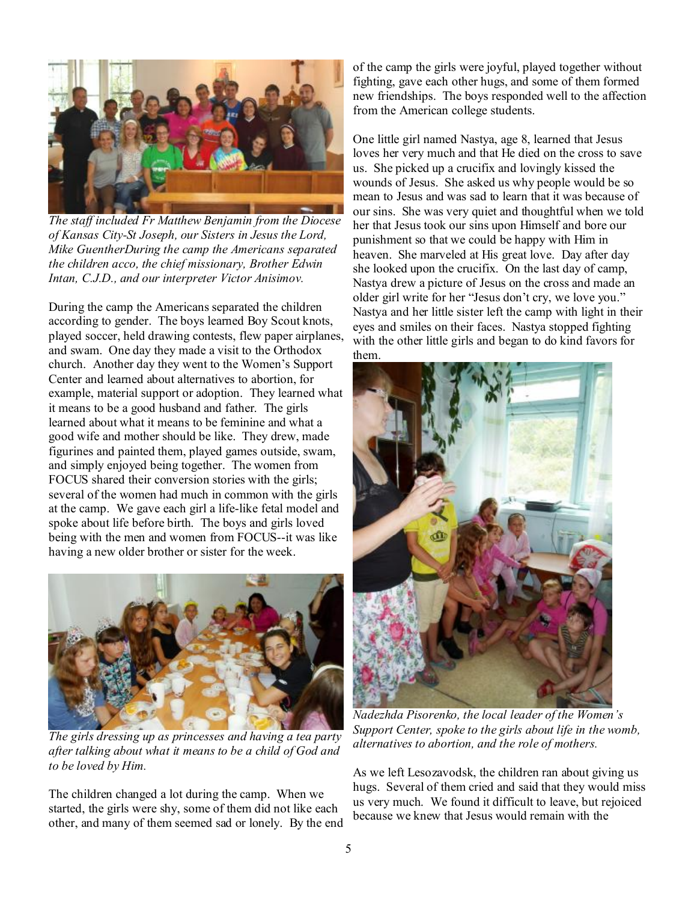

*The staff included Fr Matthew Benjamin from the Diocese of Kansas City-St Joseph, our Sisters in Jesus the Lord, Mike GuentherDuring the camp the Americans separated the children acco, the chief missionary, Brother Edwin Intan, C.J.D., and our interpreter Victor Anisimov.* 

During the camp the Americans separated the children according to gender. The boys learned Boy Scout knots, played soccer, held drawing contests, flew paper airplanes, and swam. One day they made a visit to the Orthodox church. Another day they went to the Women's Support Center and learned about alternatives to abortion, for example, material support or adoption. They learned what it means to be a good husband and father. The girls learned about what it means to be feminine and what a good wife and mother should be like. They drew, made figurines and painted them, played games outside, swam, and simply enjoyed being together. The women from FOCUS shared their conversion stories with the girls; several of the women had much in common with the girls at the camp. We gave each girl a life-like fetal model and spoke about life before birth. The boys and girls loved being with the men and women from FOCUS--it was like having a new older brother or sister for the week.



*The girls dressing up as princesses and having a tea party after talking about what it means to be a child of God and to be loved by Him.* 

The children changed a lot during the camp. When we started, the girls were shy, some of them did not like each other, and many of them seemed sad or lonely. By the end of the camp the girls were joyful, played together without fighting, gave each other hugs, and some of them formed new friendships. The boys responded well to the affection from the American college students.

One little girl named Nastya, age 8, learned that Jesus loves her very much and that He died on the cross to save us. She picked up a crucifix and lovingly kissed the wounds of Jesus. She asked us why people would be so mean to Jesus and was sad to learn that it was because of our sins. She was very quiet and thoughtful when we told her that Jesus took our sins upon Himself and bore our punishment so that we could be happy with Him in heaven. She marveled at His great love. Day after day she looked upon the crucifix. On the last day of camp, Nastya drew a picture of Jesus on the cross and made an older girl write for her "Jesus don't cry, we love you." Nastya and her little sister left the camp with light in their eyes and smiles on their faces. Nastya stopped fighting with the other little girls and began to do kind favors for them.



*Nadezhda Pisorenko, the local leader of the Women's Support Center, spoke to the girls about life in the womb, alternatives to abortion, and the role of mothers.*

As we left Lesozavodsk, the children ran about giving us hugs. Several of them cried and said that they would miss us very much. We found it difficult to leave, but rejoiced because we knew that Jesus would remain with the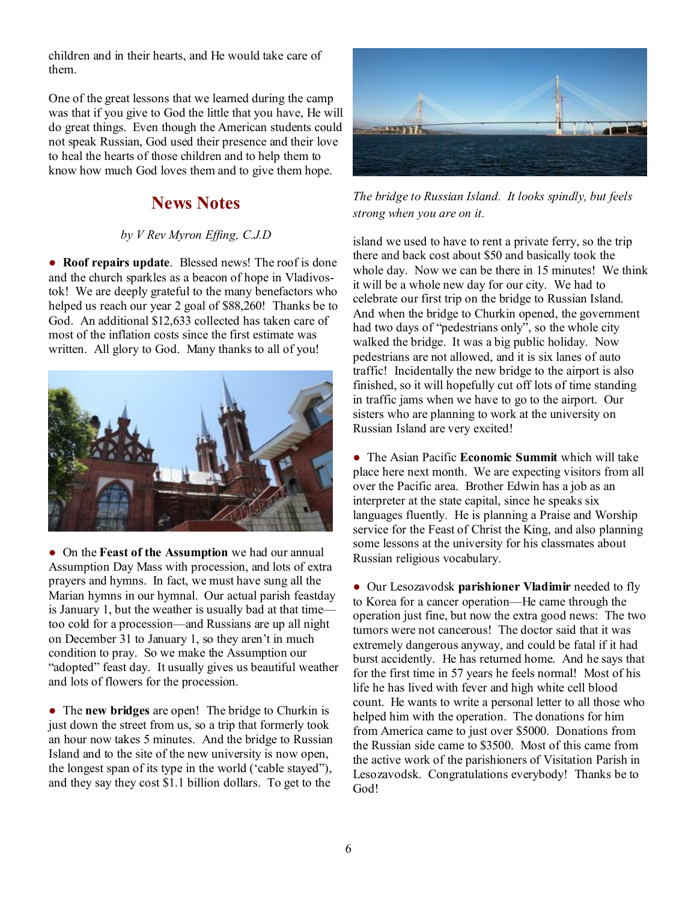children and in their hearts, and He would take care of them.

One of the great lessons that we learned during the camp was that if you give to God the little that you have, He will do great things. Even though the American students could not speak Russian, God used their presence and their love to heal the hearts of those children and to help them to know how much God loves them and to give them hope.

### **News Notes**

#### *by V Rev Myron Effing, C.J.D*

● **Roof repairs update**. Blessed news! The roof is done and the church sparkles as a beacon of hope in Vladivostok! We are deeply grateful to the many benefactors who helped us reach our year 2 goal of \$88,260! Thanks be to God. An additional \$12,633 collected has taken care of most of the inflation costs since the first estimate was written. All glory to God. Many thanks to all of you!



● On the **Feast of the Assumption** we had our annual Assumption Day Mass with procession, and lots of extra prayers and hymns. In fact, we must have sung all the Marian hymns in our hymnal. Our actual parish feastday is January 1, but the weather is usually bad at that time too cold for a procession—and Russians are up all night on December 31 to January 1, so they aren't in much condition to pray. So we make the Assumption our "adopted" feast day. It usually gives us beautiful weather and lots of flowers for the procession.

● The **new bridges** are open! The bridge to Churkin is just down the street from us, so a trip that formerly took an hour now takes 5 minutes. And the bridge to Russian Island and to the site of the new university is now open, the longest span of its type in the world ('cable stayed"), and they say they cost \$1.1 billion dollars. To get to the



*The bridge to Russian Island. It looks spindly, but feels strong when you are on it.* 

island we used to have to rent a private ferry, so the trip there and back cost about \$50 and basically took the whole day. Now we can be there in 15 minutes! We think it will be a whole new day for our city. We had to celebrate our first trip on the bridge to Russian Island. And when the bridge to Churkin opened, the government had two days of "pedestrians only", so the whole city walked the bridge. It was a big public holiday. Now pedestrians are not allowed, and it is six lanes of auto traffic! Incidentally the new bridge to the airport is also finished, so it will hopefully cut off lots of time standing in traffic jams when we have to go to the airport. Our sisters who are planning to work at the university on Russian Island are very excited!

● The Asian Pacific **Economic Summit** which will take place here next month. We are expecting visitors from all over the Pacific area. Brother Edwin has a job as an interpreter at the state capital, since he speaks six languages fluently. He is planning a Praise and Worship service for the Feast of Christ the King, and also planning some lessons at the university for his classmates about Russian religious vocabulary.

● Our Lesozavodsk **parishioner Vladimir** needed to fly to Korea for a cancer operation—He came through the operation just fine, but now the extra good news: The two tumors were not cancerous! The doctor said that it was extremely dangerous anyway, and could be fatal if it had burst accidently. He has returned home. And he says that for the first time in 57 years he feels normal! Most of his life he has lived with fever and high white cell blood count. He wants to write a personal letter to all those who helped him with the operation. The donations for him from America came to just over \$5000. Donations from the Russian side came to \$3500. Most of this came from the active work of the parishioners of Visitation Parish in Lesozavodsk. Congratulations everybody! Thanks be to God!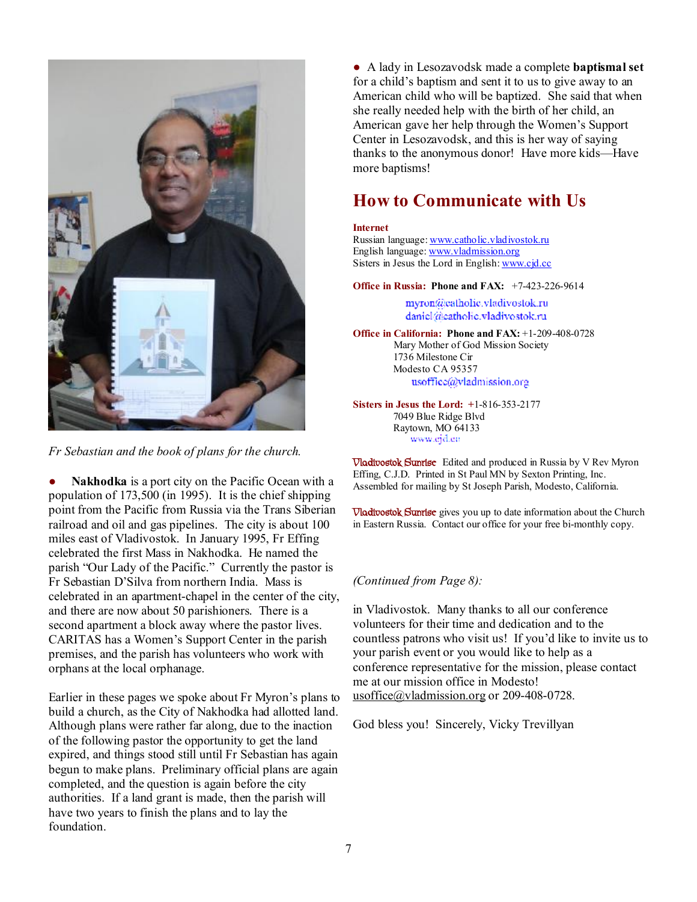

*Fr Sebastian and the book of plans for the church.* 

• **Nakhodka** is a port city on the Pacific Ocean with a population of 173,500 (in 1995). It is the chief shipping point from the Pacific from Russia via the Trans Siberian railroad and oil and gas pipelines. The city is about 100 miles east of Vladivostok. In January 1995, Fr Effing celebrated the first Mass in Nakhodka. He named the parish "Our Lady of the Pacific." Currently the pastor is Fr Sebastian D'Silva from northern India. Mass is celebrated in an apartment-chapel in the center of the city, and there are now about 50 parishioners. There is a second apartment a block away where the pastor lives. CARITAS has a Women's Support Center in the parish premises, and the parish has volunteers who work with orphans at the local orphanage.

Earlier in these pages we spoke about Fr Myron's plans to build a church, as the City of Nakhodka had allotted land. Although plans were rather far along, due to the inaction of the following pastor the opportunity to get the land expired, and things stood still until Fr Sebastian has again begun to make plans. Preliminary official plans are again completed, and the question is again before the city authorities. If a land grant is made, then the parish will have two years to finish the plans and to lay the foundation.

● A lady in Lesozavodsk made a complete **baptismal set** for a child's baptism and sent it to us to give away to an American child who will be baptized. She said that when she really needed help with the birth of her child, an American gave her help through the Women's Support Center in Lesozavodsk, and this is her way of saying thanks to the anonymous donor! Have more kids—Have more baptisms!

## **How to Communicate with Us**

#### **Internet**

Russian language: [www.catholic.vladivostok.ru](http://www.catholic.vladivostok.ru) English language: [www.vladmission.org](http://www.vladmission.org) Sisters in Jesus the Lord in English: [www.cjd.cc](http://www.cjd.cc)

**Office in Russia: Phone and FAX:** +7-423-226-9614

myron@catholic.vladivostok.ru daniel/aleatholic.vladivostok.ru

**Office in California: Phone and FAX:** +1-209-408-0728 Mary Mother of God Mission Society 1736 Milestone Cir Modesto CA 95357 usoffice@vladmission.org

**Sisters in Jesus the Lord: +**1-816-353-2177 7049 Blue Ridge Blvd Raytown, MO 64133 www.ejd.ee

**Vladivostok Sunrise** Edited and produced in Russia by V Rev Myron Effing, C.J.D. Printed in St Paul MN by Sexton Printing, Inc. Assembled for mailing by St Joseph Parish, Modesto, California.

**Vladivostok Sunrise** gives you up to date information about the Church in Eastern Russia. Contact our office for your free bi-monthly copy.

#### *(Continued from Page 8):*

in Vladivostok. Many thanks to all our conference volunteers for their time and dedication and to the countless patrons who visit us! If you'd like to invite us to your parish event or you would like to help as a conference representative for the mission, please contact me at our mission office in Modesto! [usoffice@vladmission.org](mailto:usoffice@vladmission.org) or 209-408-0728.

God bless you! Sincerely, Vicky Trevillyan